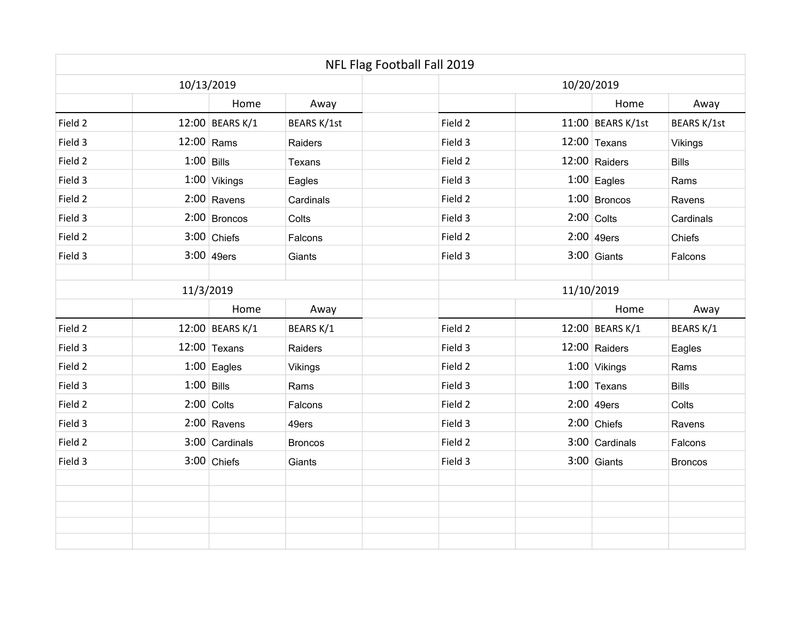|            |              |                 |                | NFL Flag Football Fall 2019 |            |                     |                |  |  |
|------------|--------------|-----------------|----------------|-----------------------------|------------|---------------------|----------------|--|--|
| 10/13/2019 |              |                 |                |                             | 10/20/2019 |                     |                |  |  |
|            |              | Home            | Away           |                             |            | Home                | Away           |  |  |
| Field 2    |              | 12:00 BEARS K/1 | BEARS K/1st    | Field 2                     |            | $11:00$ BEARS K/1st | BEARS K/1st    |  |  |
| Field 3    | $12:00$ Rams |                 | Raiders        | Field 3                     |            | $12:00$ Texans      | <b>Vikings</b> |  |  |
| Field 2    | $1:00$ Bills |                 | Texans         | Field 2                     |            | 12:00 Raiders       | <b>Bills</b>   |  |  |
| Field 3    |              | $1:00$ Vikings  | Eagles         | Field 3                     |            | $1:00$ Eagles       | Rams           |  |  |
| Field 2    |              | $2:00$ Ravens   | Cardinals      | Field 2                     |            | $1:00$ Broncos      | Ravens         |  |  |
| Field 3    |              | $2:00$ Broncos  | Colts          | Field 3                     |            | $2:00$ Colts        | Cardinals      |  |  |
| Field 2    |              | $3:00$ Chiefs   | Falcons        | Field 2                     |            | $2:00$ 49ers        | Chiefs         |  |  |
| Field 3    |              | $3:00$ 49ers    | Giants         | Field 3                     |            | $3:00$ Giants       | Falcons        |  |  |
| 11/3/2019  |              |                 |                |                             | 11/10/2019 |                     |                |  |  |
|            |              |                 |                |                             |            |                     |                |  |  |
|            |              | Home            | Away           |                             |            | Home                | Away           |  |  |
| Field 2    |              | 12:00 BEARS K/1 | BEARS K/1      | Field 2                     |            | 12:00 BEARS K/1     | BEARS K/1      |  |  |
| Field 3    |              | $12:00$ Texans  | Raiders        | Field 3                     |            | 12:00 Raiders       | Eagles         |  |  |
| Field 2    |              | $1:00$ Eagles   | Vikings        | Field 2                     |            | $1:00$ Vikings      | Rams           |  |  |
| Field 3    | $1:00$ Bills |                 | Rams           | Field 3                     |            | $1:00$ Texans       | <b>Bills</b>   |  |  |
| Field 2    |              | $2:00$ Colts    | Falcons        | Field 2                     |            | $2:00$ 49ers        | Colts          |  |  |
| Field 3    |              | $2:00$ Ravens   | 49ers          | Field 3                     |            | $2:00$ Chiefs       | Ravens         |  |  |
| Field 2    |              | 3:00 Cardinals  | <b>Broncos</b> | Field 2                     |            | 3:00 Cardinals      | Falcons        |  |  |
| Field 3    |              | $3:00$ Chiefs   | Giants         | Field 3                     |            | $3:00$ Giants       | <b>Broncos</b> |  |  |
|            |              |                 |                |                             |            |                     |                |  |  |
|            |              |                 |                |                             |            |                     |                |  |  |
|            |              |                 |                |                             |            |                     |                |  |  |